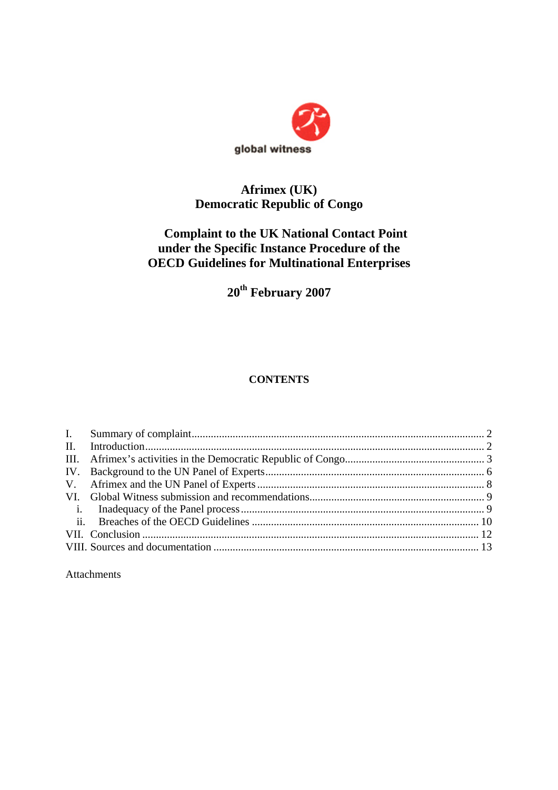

## **Afrimex (UK) Democratic Republic of Congo**

# **Complaint to the UK National Contact Point under the Specific Instance Procedure of the OECD Guidelines for Multinational Enterprises**

**20th February 2007** 

## **CONTENTS**

Attachments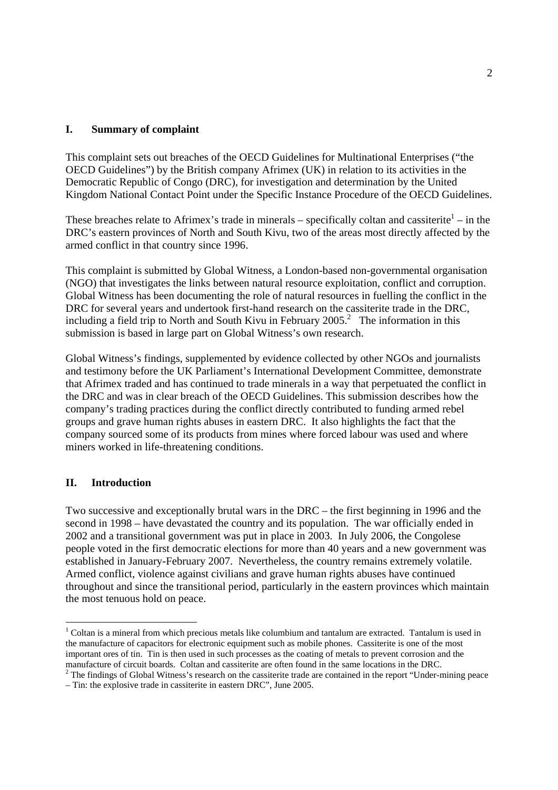## **I. Summary of complaint**

This complaint sets out breaches of the OECD Guidelines for Multinational Enterprises ("the OECD Guidelines") by the British company Afrimex (UK) in relation to its activities in the Democratic Republic of Congo (DRC), for investigation and determination by the United Kingdom National Contact Point under the Specific Instance Procedure of the OECD Guidelines.

These breaches relate to Afrimex's trade in minerals – specifically coltan and cassiterite  $\frac{1}{1}$  – in the DRC's eastern provinces of North and South Kivu, two of the areas most directly affected by the armed conflict in that country since 1996.

This complaint is submitted by Global Witness, a London-based non-governmental organisation (NGO) that investigates the links between natural resource exploitation, conflict and corruption. Global Witness has been documenting the role of natural resources in fuelling the conflict in the DRC for several years and undertook first-hand research on the cassiterite trade in the DRC. including a field trip to North and South Kivu in February  $2005$ .<sup>2</sup> The information in this submission is based in large part on Global Witness's own research.

Global Witness's findings, supplemented by evidence collected by other NGOs and journalists and testimony before the UK Parliament's International Development Committee, demonstrate that Afrimex traded and has continued to trade minerals in a way that perpetuated the conflict in the DRC and was in clear breach of the OECD Guidelines. This submission describes how the company's trading practices during the conflict directly contributed to funding armed rebel groups and grave human rights abuses in eastern DRC. It also highlights the fact that the company sourced some of its products from mines where forced labour was used and where miners worked in life-threatening conditions.

## **II. Introduction**

-

Two successive and exceptionally brutal wars in the DRC – the first beginning in 1996 and the second in 1998 – have devastated the country and its population. The war officially ended in 2002 and a transitional government was put in place in 2003. In July 2006, the Congolese people voted in the first democratic elections for more than 40 years and a new government was established in January-February 2007. Nevertheless, the country remains extremely volatile. Armed conflict, violence against civilians and grave human rights abuses have continued throughout and since the transitional period, particularly in the eastern provinces which maintain the most tenuous hold on peace.

 $1$  Coltan is a mineral from which precious metals like columbium and tantalum are extracted. Tantalum is used in the manufacture of capacitors for electronic equipment such as mobile phones. Cassiterite is one of the most important ores of tin. Tin is then used in such processes as the coating of metals to prevent corrosion and the manufacture of circuit boards. Coltan and cassiterite are often found in the same locations in the DRC.

 $2$  The findings of Global Witness's research on the cassiterite trade are contained in the report "Under-mining peace

<sup>–</sup> Tin: the explosive trade in cassiterite in eastern DRC", June 2005.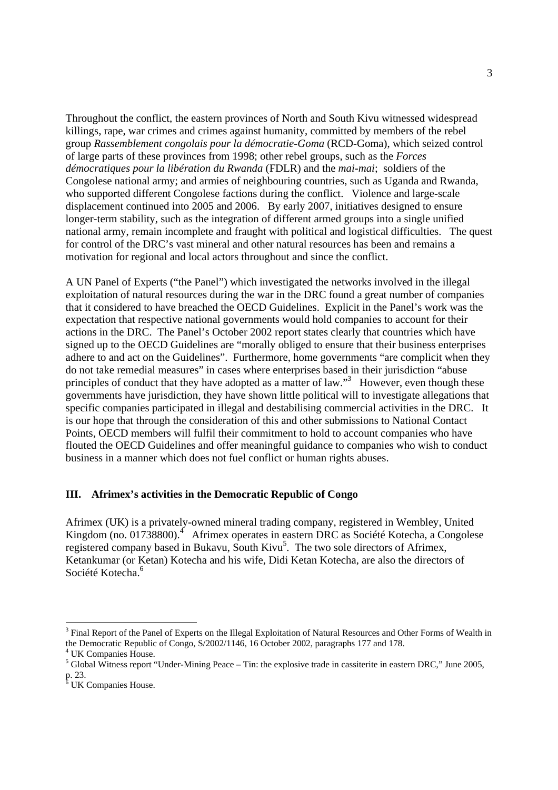Throughout the conflict, the eastern provinces of North and South Kivu witnessed widespread killings, rape, war crimes and crimes against humanity, committed by members of the rebel group *Rassemblement congolais pour la démocratie-Goma* (RCD-Goma), which seized control of large parts of these provinces from 1998; other rebel groups, such as the *Forces démocratiques pour la libération du Rwanda* (FDLR) and the *mai-mai*; soldiers of the Congolese national army; and armies of neighbouring countries, such as Uganda and Rwanda, who supported different Congolese factions during the conflict. Violence and large-scale displacement continued into 2005 and 2006. By early 2007, initiatives designed to ensure longer-term stability, such as the integration of different armed groups into a single unified national army, remain incomplete and fraught with political and logistical difficulties. The quest for control of the DRC's vast mineral and other natural resources has been and remains a motivation for regional and local actors throughout and since the conflict.

A UN Panel of Experts ("the Panel") which investigated the networks involved in the illegal exploitation of natural resources during the war in the DRC found a great number of companies that it considered to have breached the OECD Guidelines. Explicit in the Panel's work was the expectation that respective national governments would hold companies to account for their actions in the DRC. The Panel's October 2002 report states clearly that countries which have signed up to the OECD Guidelines are "morally obliged to ensure that their business enterprises adhere to and act on the Guidelines". Furthermore, home governments "are complicit when they do not take remedial measures" in cases where enterprises based in their jurisdiction "abuse principles of conduct that they have adopted as a matter of law."<sup>3</sup> However, even though these governments have jurisdiction, they have shown little political will to investigate allegations that specific companies participated in illegal and destabilising commercial activities in the DRC. It is our hope that through the consideration of this and other submissions to National Contact Points, OECD members will fulfil their commitment to hold to account companies who have flouted the OECD Guidelines and offer meaningful guidance to companies who wish to conduct business in a manner which does not fuel conflict or human rights abuses.

## **III. Afrimex's activities in the Democratic Republic of Congo**

Afrimex (UK) is a privately-owned mineral trading company, registered in Wembley, United Kingdom (no. 01738800).<sup>4</sup> Afrimex operates in eastern DRC as Société Kotecha, a Congolese registered company based in Bukavu, South Kivu<sup>5</sup>. The two sole directors of Afrimex, Ketankumar (or Ketan) Kotecha and his wife, Didi Ketan Kotecha, are also the directors of Société Kotecha.<sup>6</sup>

 $3$  Final Report of the Panel of Experts on the Illegal Exploitation of Natural Resources and Other Forms of Wealth in the Democratic Republic of Congo, S/2002/1146, 16 October 2002, paragraphs 177 and 178.

<sup>4</sup> UK Companies House.

<sup>&</sup>lt;sup>5</sup> Global Witness report "Under-Mining Peace – Tin: the explosive trade in cassiterite in eastern DRC," June 2005, p. 23.<br><sup>6</sup> UK Companies House.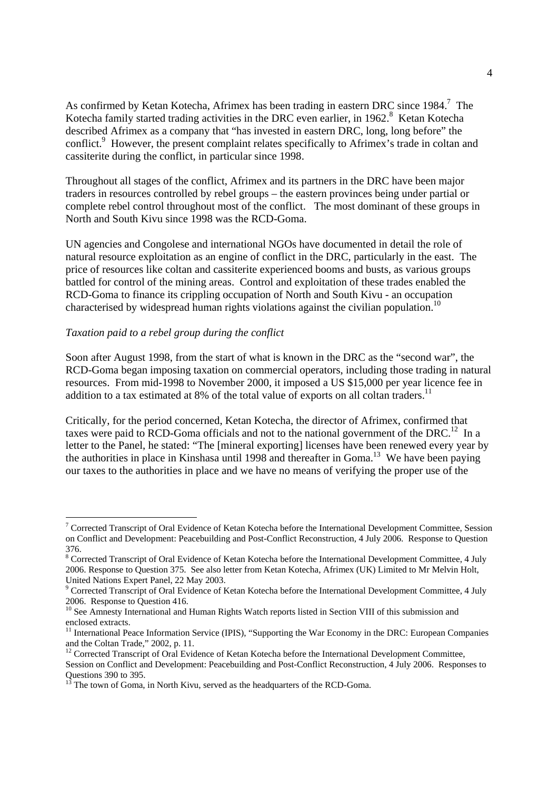As confirmed by Ketan Kotecha, Afrimex has been trading in eastern DRC since  $1984$ .<sup>7</sup> The Kotecha family started trading activities in the DRC even earlier, in 1962.<sup>8</sup> Ketan Kotecha described Afrimex as a company that "has invested in eastern DRC, long, long before" the conflict.<sup>9</sup> However, the present complaint relates specifically to Afrimex's trade in coltan and cassiterite during the conflict, in particular since 1998.

Throughout all stages of the conflict, Afrimex and its partners in the DRC have been major traders in resources controlled by rebel groups – the eastern provinces being under partial or complete rebel control throughout most of the conflict. The most dominant of these groups in North and South Kivu since 1998 was the RCD-Goma.

UN agencies and Congolese and international NGOs have documented in detail the role of natural resource exploitation as an engine of conflict in the DRC, particularly in the east. The price of resources like coltan and cassiterite experienced booms and busts, as various groups battled for control of the mining areas. Control and exploitation of these trades enabled the RCD-Goma to finance its crippling occupation of North and South Kivu - an occupation characterised by widespread human rights violations against the civilian population.<sup>10</sup>

## *Taxation paid to a rebel group during the conflict*

-

Soon after August 1998, from the start of what is known in the DRC as the "second war", the RCD-Goma began imposing taxation on commercial operators, including those trading in natural resources. From mid-1998 to November 2000, it imposed a US \$15,000 per year licence fee in addition to a tax estimated at 8% of the total value of exports on all coltan traders.<sup>11</sup>

Critically, for the period concerned, Ketan Kotecha, the director of Afrimex, confirmed that taxes were paid to RCD-Goma officials and not to the national government of the DRC.<sup>12</sup> In a letter to the Panel, he stated: "The [mineral exporting] licenses have been renewed every year by the authorities in place in Kinshasa until 1998 and thereafter in Goma.<sup>13</sup> We have been paying our taxes to the authorities in place and we have no means of verifying the proper use of the

<sup>&</sup>lt;sup>7</sup> Corrected Transcript of Oral Evidence of Ketan Kotecha before the International Development Committee, Session on Conflict and Development: Peacebuilding and Post-Conflict Reconstruction, 4 July 2006. Response to Question 376.

<sup>&</sup>lt;sup>8</sup> Corrected Transcript of Oral Evidence of Ketan Kotecha before the International Development Committee, 4 July 2006. Response to Question 375. See also letter from Ketan Kotecha, Afrimex (UK) Limited to Mr Melvin Holt, United Nations Expert Panel, 22 May 2003.

<sup>&</sup>lt;sup>9</sup> Corrected Transcript of Oral Evidence of Ketan Kotecha before the International Development Committee, 4 July 2006. Response to Question 416.

<sup>&</sup>lt;sup>10</sup> See Amnesty International and Human Rights Watch reports listed in Section VIII of this submission and enclosed extracts.

<sup>&</sup>lt;sup>11</sup> International Peace Information Service (IPIS), "Supporting the War Economy in the DRC: European Companies and the Coltan Trade," 2002, p. 11.

 $12$  Corrected Transcript of Oral Evidence of Ketan Kotecha before the International Development Committee, Session on Conflict and Development: Peacebuilding and Post-Conflict Reconstruction, 4 July 2006. Responses to Questions 390 to 395.

 $13$ <sup>13</sup> The town of Goma, in North Kivu, served as the headquarters of the RCD-Goma.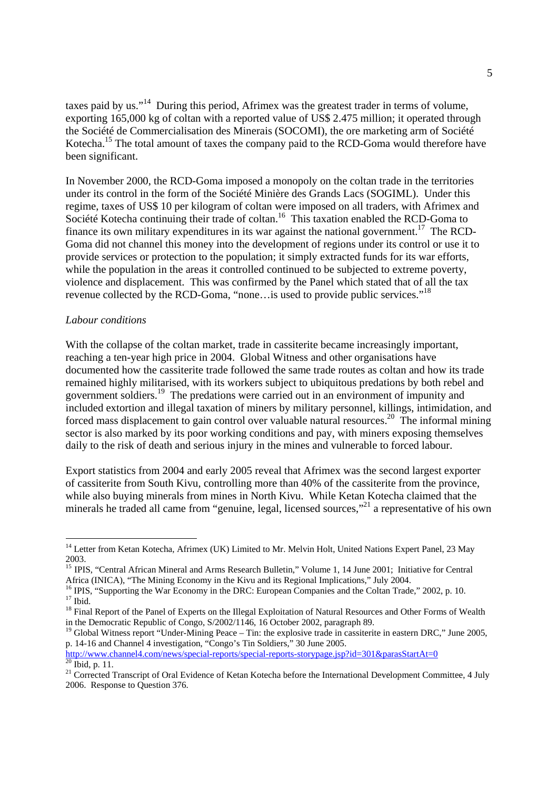taxes paid by us."14 During this period, Afrimex was the greatest trader in terms of volume, exporting 165,000 kg of coltan with a reported value of US\$ 2.475 million; it operated through the Société de Commercialisation des Minerais (SOCOMI), the ore marketing arm of Société Kotecha.<sup>15</sup> The total amount of taxes the company paid to the RCD-Goma would therefore have been significant.

In November 2000, the RCD-Goma imposed a monopoly on the coltan trade in the territories under its control in the form of the Société Minière des Grands Lacs (SOGIML). Under this regime, taxes of US\$ 10 per kilogram of coltan were imposed on all traders, with Afrimex and Société Kotecha continuing their trade of coltan.<sup>16</sup> This taxation enabled the RCD-Goma to finance its own military expenditures in its war against the national government.<sup>17</sup> The RCD-Goma did not channel this money into the development of regions under its control or use it to provide services or protection to the population; it simply extracted funds for its war efforts, while the population in the areas it controlled continued to be subjected to extreme poverty, violence and displacement. This was confirmed by the Panel which stated that of all the tax revenue collected by the RCD-Goma, "none…is used to provide public services."<sup>18</sup>

## *Labour conditions*

With the collapse of the coltan market, trade in cassiterite became increasingly important, reaching a ten-year high price in 2004. Global Witness and other organisations have documented how the cassiterite trade followed the same trade routes as coltan and how its trade remained highly militarised, with its workers subject to ubiquitous predations by both rebel and government soldiers.19 The predations were carried out in an environment of impunity and included extortion and illegal taxation of miners by military personnel, killings, intimidation, and forced mass displacement to gain control over valuable natural resources.<sup>20</sup> The informal mining sector is also marked by its poor working conditions and pay, with miners exposing themselves daily to the risk of death and serious injury in the mines and vulnerable to forced labour.

Export statistics from 2004 and early 2005 reveal that Afrimex was the second largest exporter of cassiterite from South Kivu, controlling more than 40% of the cassiterite from the province, while also buying minerals from mines in North Kivu. While Ketan Kotecha claimed that the minerals he traded all came from "genuine, legal, licensed sources,"<sup>21</sup> a representative of his own

<sup>&</sup>lt;sup>14</sup> Letter from Ketan Kotecha, Afrimex (UK) Limited to Mr. Melvin Holt, United Nations Expert Panel, 23 May 2003.

<sup>&</sup>lt;sup>15</sup> IPIS, "Central African Mineral and Arms Research Bulletin," Volume 1, 14 June 2001; Initiative for Central Africa (INICA), "The Mining Economy in the Kivu and its Regional Implications," July 2004.

<sup>&</sup>lt;sup>16</sup> IPIS, "Supporting the War Economy in the DRC: European Companies and the Coltan Trade," 2002, p. 10.  $17 \overline{1}$  Ibid.

<sup>&</sup>lt;sup>18</sup> Final Report of the Panel of Experts on the Illegal Exploitation of Natural Resources and Other Forms of Wealth in the Democratic Republic of Congo, S/2002/1146, 16 October 2002, paragraph 89.

<sup>&</sup>lt;sup>19</sup> Global Witness report "Under-Mining Peace – Tin: the explosive trade in cassiterite in eastern DRC," June 2005, p. 14-16 and Channel 4 investigation, "Congo's Tin Soldiers," 30 June 2005.

http://www.channel4.com/news/special-reports/special-reports-storypage.jsp?id=301&parasStartAt=0

 $^{20}$  Ibid, p. 11.

<sup>&</sup>lt;sup>21</sup> Corrected Transcript of Oral Evidence of Ketan Kotecha before the International Development Committee, 4 July 2006. Response to Question 376.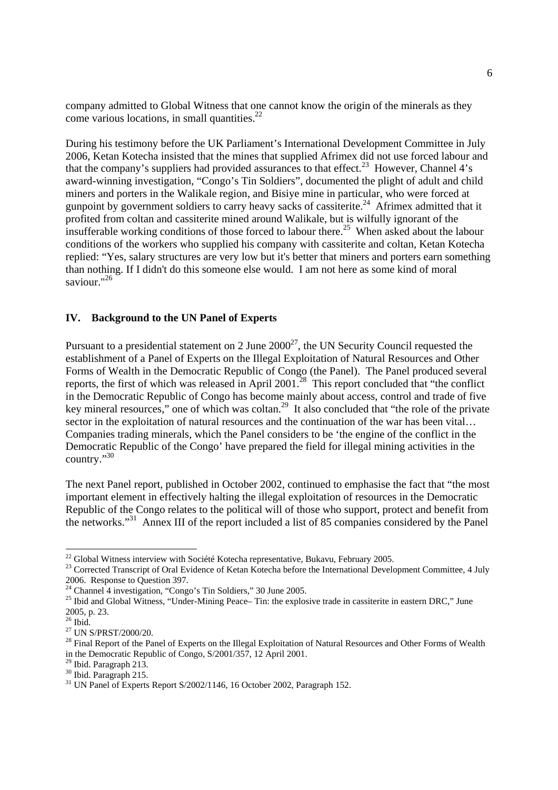company admitted to Global Witness that one cannot know the origin of the minerals as they come various locations, in small quantities. $^{22}$ 

During his testimony before the UK Parliament's International Development Committee in July 2006, Ketan Kotecha insisted that the mines that supplied Afrimex did not use forced labour and that the company's suppliers had provided assurances to that effect.<sup>23</sup> However, Channel 4's award-winning investigation, "Congo's Tin Soldiers", documented the plight of adult and child miners and porters in the Walikale region, and Bisiye mine in particular, who were forced at gunpoint by government soldiers to carry heavy sacks of cassiterite.<sup>24</sup> Afrimex admitted that it profited from coltan and cassiterite mined around Walikale, but is wilfully ignorant of the insufferable working conditions of those forced to labour there.<sup>25</sup> When asked about the labour conditions of the workers who supplied his company with cassiterite and coltan, Ketan Kotecha replied: "Yes, salary structures are very low but it's better that miners and porters earn something than nothing. If I didn't do this someone else would. I am not here as some kind of moral saviour."26

## **IV. Background to the UN Panel of Experts**

Pursuant to a presidential statement on 2 June  $2000^{27}$ , the UN Security Council requested the establishment of a Panel of Experts on the Illegal Exploitation of Natural Resources and Other Forms of Wealth in the Democratic Republic of Congo (the Panel). The Panel produced several reports, the first of which was released in April 2001.<sup>28</sup> This report concluded that "the conflict" in the Democratic Republic of Congo has become mainly about access, control and trade of five key mineral resources," one of which was coltan.<sup>29</sup> It also concluded that "the role of the private" sector in the exploitation of natural resources and the continuation of the war has been vital... Companies trading minerals, which the Panel considers to be 'the engine of the conflict in the Democratic Republic of the Congo' have prepared the field for illegal mining activities in the country."30

The next Panel report, published in October 2002, continued to emphasise the fact that "the most important element in effectively halting the illegal exploitation of resources in the Democratic Republic of the Congo relates to the political will of those who support, protect and benefit from the networks."31 Annex III of the report included a list of 85 companies considered by the Panel

<sup>&</sup>lt;sup>22</sup> Global Witness interview with Société Kotecha representative, Bukavu, February 2005.

<sup>&</sup>lt;sup>23</sup> Corrected Transcript of Oral Evidence of Ketan Kotecha before the International Development Committee, 4 July 2006. Response to Question 397.

 $^{24}$  Channel 4 investigation, "Congo's Tin Soldiers," 30 June 2005.

<sup>&</sup>lt;sup>25</sup> Ibid and Global Witness, "Under-Mining Peace– Tin: the explosive trade in cassiterite in eastern DRC," June 2005, p. 23.

 $26$  Ibid.

<sup>&</sup>lt;sup>27</sup> UN S/PRST/2000/20.

<sup>&</sup>lt;sup>28</sup> Final Report of the Panel of Experts on the Illegal Exploitation of Natural Resources and Other Forms of Wealth in the Democratic Republic of Congo, S/2001/357, 12 April 2001.

 $29$  Ibid. Paragraph 213.

 $30$  Ibid. Paragraph 215.

 $31$  UN Panel of Experts Report S/2002/1146, 16 October 2002, Paragraph 152.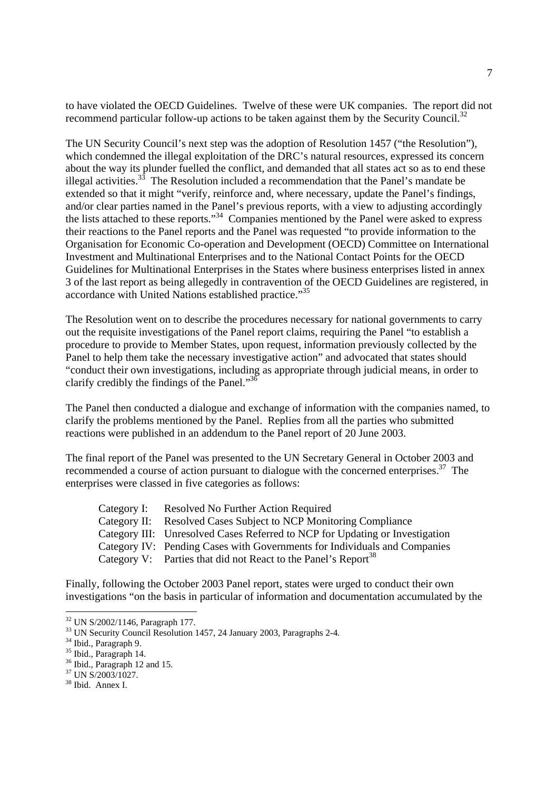to have violated the OECD Guidelines. Twelve of these were UK companies. The report did not recommend particular follow-up actions to be taken against them by the Security Council.<sup>32</sup>

The UN Security Council's next step was the adoption of Resolution 1457 ("the Resolution"), which condemned the illegal exploitation of the DRC's natural resources, expressed its concern about the way its plunder fuelled the conflict, and demanded that all states act so as to end these illegal activities.<sup>33</sup> The Resolution included a recommendation that the Panel's mandate be extended so that it might "verify, reinforce and, where necessary, update the Panel's findings, and/or clear parties named in the Panel's previous reports, with a view to adjusting accordingly the lists attached to these reports."<sup>34</sup> Companies mentioned by the Panel were asked to express their reactions to the Panel reports and the Panel was requested "to provide information to the Organisation for Economic Co-operation and Development (OECD) Committee on International Investment and Multinational Enterprises and to the National Contact Points for the OECD Guidelines for Multinational Enterprises in the States where business enterprises listed in annex 3 of the last report as being allegedly in contravention of the OECD Guidelines are registered, in accordance with United Nations established practice."<sup>35</sup>

The Resolution went on to describe the procedures necessary for national governments to carry out the requisite investigations of the Panel report claims, requiring the Panel "to establish a procedure to provide to Member States, upon request, information previously collected by the Panel to help them take the necessary investigative action" and advocated that states should "conduct their own investigations, including as appropriate through judicial means, in order to clarify credibly the findings of the Panel."36

The Panel then conducted a dialogue and exchange of information with the companies named, to clarify the problems mentioned by the Panel. Replies from all the parties who submitted reactions were published in an addendum to the Panel report of 20 June 2003.

The final report of the Panel was presented to the UN Secretary General in October 2003 and recommended a course of action pursuant to dialogue with the concerned enterprises.37 The enterprises were classed in five categories as follows:

|  | Category I: Resolved No Further Action Required                              |
|--|------------------------------------------------------------------------------|
|  | Category II: Resolved Cases Subject to NCP Monitoring Compliance             |
|  | Category III: Unresolved Cases Referred to NCP for Updating or Investigation |
|  | Category IV: Pending Cases with Governments for Individuals and Companies    |
|  | Category V: Parties that did not React to the Panel's Report <sup>38</sup>   |
|  |                                                                              |

Finally, following the October 2003 Panel report, states were urged to conduct their own investigations "on the basis in particular of information and documentation accumulated by the

 $\overline{a}$ 

<sup>32</sup> UN S/2002/1146, Paragraph 177.

<sup>&</sup>lt;sup>33</sup> UN Security Council Resolution 1457, 24 January 2003, Paragraphs 2-4.

<sup>34</sup> Ibid., Paragraph 9.

<sup>35</sup> Ibid., Paragraph 14.

<sup>36</sup> Ibid., Paragraph 12 and 15.

 $37$  UN S/2003/1027.

<sup>&</sup>lt;sup>38</sup> Ibid. Annex I.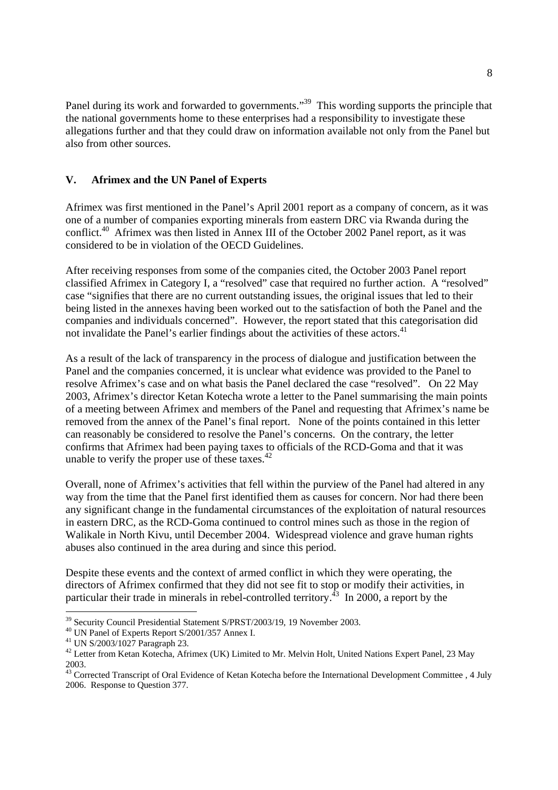Panel during its work and forwarded to governments."<sup>39</sup> This wording supports the principle that the national governments home to these enterprises had a responsibility to investigate these allegations further and that they could draw on information available not only from the Panel but also from other sources.

## **V. Afrimex and the UN Panel of Experts**

Afrimex was first mentioned in the Panel's April 2001 report as a company of concern, as it was one of a number of companies exporting minerals from eastern DRC via Rwanda during the conflict.<sup>40</sup> Afrimex was then listed in Annex III of the October 2002 Panel report, as it was considered to be in violation of the OECD Guidelines.

After receiving responses from some of the companies cited, the October 2003 Panel report classified Afrimex in Category I, a "resolved" case that required no further action. A "resolved" case "signifies that there are no current outstanding issues, the original issues that led to their being listed in the annexes having been worked out to the satisfaction of both the Panel and the companies and individuals concerned". However, the report stated that this categorisation did not invalidate the Panel's earlier findings about the activities of these actors.<sup>41</sup>

As a result of the lack of transparency in the process of dialogue and justification between the Panel and the companies concerned, it is unclear what evidence was provided to the Panel to resolve Afrimex's case and on what basis the Panel declared the case "resolved". On 22 May 2003, Afrimex's director Ketan Kotecha wrote a letter to the Panel summarising the main points of a meeting between Afrimex and members of the Panel and requesting that Afrimex's name be removed from the annex of the Panel's final report. None of the points contained in this letter can reasonably be considered to resolve the Panel's concerns. On the contrary, the letter confirms that Afrimex had been paying taxes to officials of the RCD-Goma and that it was unable to verify the proper use of these taxes. $42$ 

Overall, none of Afrimex's activities that fell within the purview of the Panel had altered in any way from the time that the Panel first identified them as causes for concern. Nor had there been any significant change in the fundamental circumstances of the exploitation of natural resources in eastern DRC, as the RCD-Goma continued to control mines such as those in the region of Walikale in North Kivu, until December 2004. Widespread violence and grave human rights abuses also continued in the area during and since this period.

Despite these events and the context of armed conflict in which they were operating, the directors of Afrimex confirmed that they did not see fit to stop or modify their activities, in particular their trade in minerals in rebel-controlled territory.<sup>43</sup> In 2000, a report by the

 $\overline{a}$ <sup>39</sup> Security Council Presidential Statement S/PRST/2003/19, 19 November 2003.

<sup>40</sup> UN Panel of Experts Report S/2001/357 Annex I.

<sup>41</sup> UN S/2003/1027 Paragraph 23.

<sup>&</sup>lt;sup>42</sup> Letter from Ketan Kotecha, Afrimex (UK) Limited to Mr. Melvin Holt, United Nations Expert Panel, 23 May 2003.

<sup>43</sup> Corrected Transcript of Oral Evidence of Ketan Kotecha before the International Development Committee , 4 July 2006. Response to Question 377.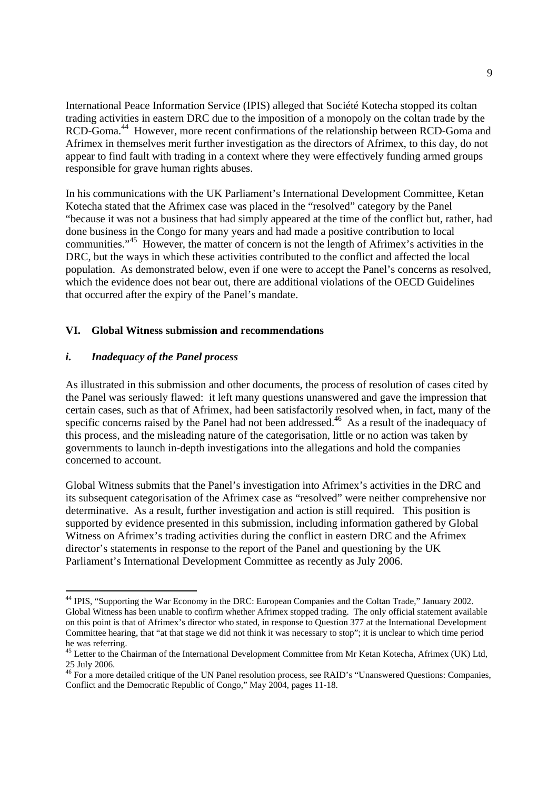International Peace Information Service (IPIS) alleged that Société Kotecha stopped its coltan trading activities in eastern DRC due to the imposition of a monopoly on the coltan trade by the RCD-Goma.<sup>44</sup> However, more recent confirmations of the relationship between RCD-Goma and Afrimex in themselves merit further investigation as the directors of Afrimex, to this day, do not appear to find fault with trading in a context where they were effectively funding armed groups responsible for grave human rights abuses.

In his communications with the UK Parliament's International Development Committee, Ketan Kotecha stated that the Afrimex case was placed in the "resolved" category by the Panel "because it was not a business that had simply appeared at the time of the conflict but, rather, had done business in the Congo for many years and had made a positive contribution to local communities."45 However, the matter of concern is not the length of Afrimex's activities in the DRC, but the ways in which these activities contributed to the conflict and affected the local population. As demonstrated below, even if one were to accept the Panel's concerns as resolved, which the evidence does not bear out, there are additional violations of the OECD Guidelines that occurred after the expiry of the Panel's mandate.

### **VI. Global Witness submission and recommendations**

## *i. Inadequacy of the Panel process*

-

As illustrated in this submission and other documents, the process of resolution of cases cited by the Panel was seriously flawed: it left many questions unanswered and gave the impression that certain cases, such as that of Afrimex, had been satisfactorily resolved when, in fact, many of the specific concerns raised by the Panel had not been addressed.<sup>46</sup> As a result of the inadequacy of this process, and the misleading nature of the categorisation, little or no action was taken by governments to launch in-depth investigations into the allegations and hold the companies concerned to account.

Global Witness submits that the Panel's investigation into Afrimex's activities in the DRC and its subsequent categorisation of the Afrimex case as "resolved" were neither comprehensive nor determinative. As a result, further investigation and action is still required. This position is supported by evidence presented in this submission, including information gathered by Global Witness on Afrimex's trading activities during the conflict in eastern DRC and the Afrimex director's statements in response to the report of the Panel and questioning by the UK Parliament's International Development Committee as recently as July 2006.

<sup>&</sup>lt;sup>44</sup> IPIS, "Supporting the War Economy in the DRC: European Companies and the Coltan Trade," January 2002. Global Witness has been unable to confirm whether Afrimex stopped trading. The only official statement available on this point is that of Afrimex's director who stated, in response to Question 377 at the International Development Committee hearing, that "at that stage we did not think it was necessary to stop"; it is unclear to which time period he was referring.

<sup>&</sup>lt;sup>45</sup> Letter to the Chairman of the International Development Committee from Mr Ketan Kotecha, Afrimex (UK) Ltd, 25 July 2006.

<sup>&</sup>lt;sup>46</sup> For a more detailed critique of the UN Panel resolution process, see RAID's "Unanswered Questions: Companies, Conflict and the Democratic Republic of Congo," May 2004, pages 11-18.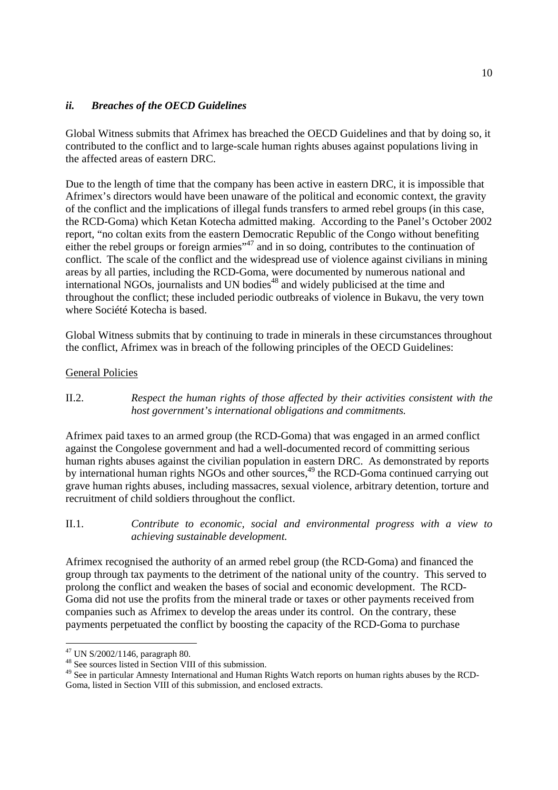## *ii. Breaches of the OECD Guidelines*

Global Witness submits that Afrimex has breached the OECD Guidelines and that by doing so, it contributed to the conflict and to large-scale human rights abuses against populations living in the affected areas of eastern DRC.

Due to the length of time that the company has been active in eastern DRC, it is impossible that Afrimex's directors would have been unaware of the political and economic context, the gravity of the conflict and the implications of illegal funds transfers to armed rebel groups (in this case, the RCD-Goma) which Ketan Kotecha admitted making. According to the Panel's October 2002 report, "no coltan exits from the eastern Democratic Republic of the Congo without benefiting either the rebel groups or foreign armies"<sup>47</sup> and in so doing, contributes to the continuation of conflict. The scale of the conflict and the widespread use of violence against civilians in mining areas by all parties, including the RCD-Goma, were documented by numerous national and  $intermational NGOs$ , journalists and UN bodies<sup>48</sup> and widely publicised at the time and throughout the conflict; these included periodic outbreaks of violence in Bukavu, the very town where Société Kotecha is based.

Global Witness submits that by continuing to trade in minerals in these circumstances throughout the conflict, Afrimex was in breach of the following principles of the OECD Guidelines:

## General Policies

II.2. *Respect the human rights of those affected by their activities consistent with the host government's international obligations and commitments.* 

Afrimex paid taxes to an armed group (the RCD-Goma) that was engaged in an armed conflict against the Congolese government and had a well-documented record of committing serious human rights abuses against the civilian population in eastern DRC. As demonstrated by reports by international human rights NGOs and other sources,<sup>49</sup> the RCD-Goma continued carrying out grave human rights abuses, including massacres, sexual violence, arbitrary detention, torture and recruitment of child soldiers throughout the conflict.

II.1. *Contribute to economic, social and environmental progress with a view to achieving sustainable development.*

Afrimex recognised the authority of an armed rebel group (the RCD-Goma) and financed the group through tax payments to the detriment of the national unity of the country. This served to prolong the conflict and weaken the bases of social and economic development. The RCD-Goma did not use the profits from the mineral trade or taxes or other payments received from companies such as Afrimex to develop the areas under its control. On the contrary, these payments perpetuated the conflict by boosting the capacity of the RCD-Goma to purchase

<sup>47</sup> UN S/2002/1146, paragraph 80.

<sup>48</sup> See sources listed in Section VIII of this submission.

<sup>&</sup>lt;sup>49</sup> See in particular Amnesty International and Human Rights Watch reports on human rights abuses by the RCD-Goma, listed in Section VIII of this submission, and enclosed extracts.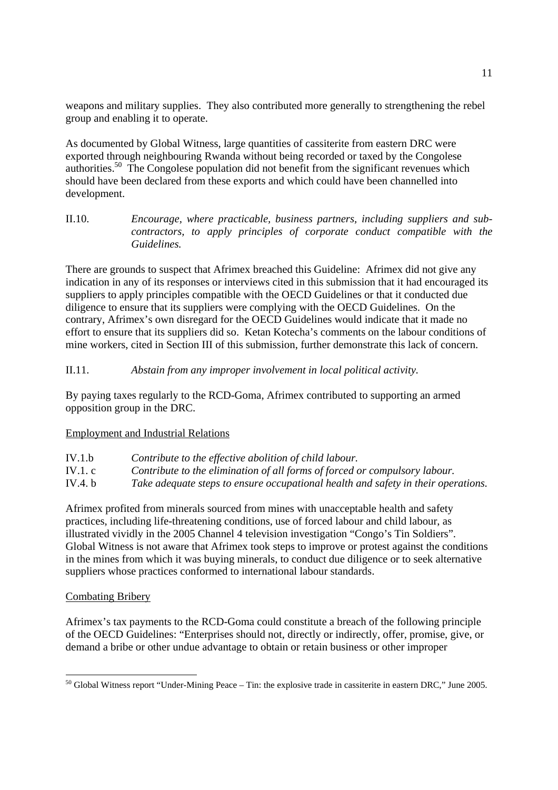weapons and military supplies. They also contributed more generally to strengthening the rebel group and enabling it to operate.

As documented by Global Witness, large quantities of cassiterite from eastern DRC were exported through neighbouring Rwanda without being recorded or taxed by the Congolese authorities.50 The Congolese population did not benefit from the significant revenues which should have been declared from these exports and which could have been channelled into development.

II.10. *Encourage, where practicable, business partners, including suppliers and subcontractors, to apply principles of corporate conduct compatible with the Guidelines.* 

There are grounds to suspect that Afrimex breached this Guideline: Afrimex did not give any indication in any of its responses or interviews cited in this submission that it had encouraged its suppliers to apply principles compatible with the OECD Guidelines or that it conducted due diligence to ensure that its suppliers were complying with the OECD Guidelines. On the contrary, Afrimex's own disregard for the OECD Guidelines would indicate that it made no effort to ensure that its suppliers did so. Ketan Kotecha's comments on the labour conditions of mine workers, cited in Section III of this submission, further demonstrate this lack of concern.

II.11. *Abstain from any improper involvement in local political activity.* 

By paying taxes regularly to the RCD-Goma, Afrimex contributed to supporting an armed opposition group in the DRC.

## Employment and Industrial Relations

| IV.1.b    | Contribute to the effective abolition of child labour.                            |
|-----------|-----------------------------------------------------------------------------------|
| IV.1. $c$ | Contribute to the elimination of all forms of forced or compulsory labour.        |
| IV.4. $b$ | Take adequate steps to ensure occupational health and safety in their operations. |

Afrimex profited from minerals sourced from mines with unacceptable health and safety practices, including life-threatening conditions, use of forced labour and child labour, as illustrated vividly in the 2005 Channel 4 television investigation "Congo's Tin Soldiers". Global Witness is not aware that Afrimex took steps to improve or protest against the conditions in the mines from which it was buying minerals, to conduct due diligence or to seek alternative suppliers whose practices conformed to international labour standards.

## Combating Bribery

Afrimex's tax payments to the RCD-Goma could constitute a breach of the following principle of the OECD Guidelines: "Enterprises should not, directly or indirectly, offer, promise, give, or demand a bribe or other undue advantage to obtain or retain business or other improper

<sup>1</sup>  $50$  Global Witness report "Under-Mining Peace – Tin: the explosive trade in cassiterite in eastern DRC," June 2005.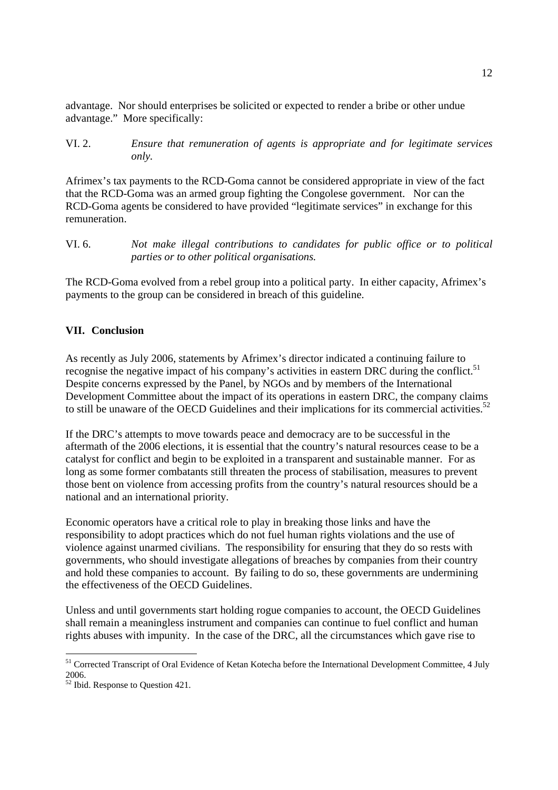advantage. Nor should enterprises be solicited or expected to render a bribe or other undue advantage." More specifically:

VI. 2. *Ensure that remuneration of agents is appropriate and for legitimate services only.*

Afrimex's tax payments to the RCD-Goma cannot be considered appropriate in view of the fact that the RCD-Goma was an armed group fighting the Congolese government. Nor can the RCD-Goma agents be considered to have provided "legitimate services" in exchange for this remuneration.

VI. 6. *Not make illegal contributions to candidates for public office or to political parties or to other political organisations.*

The RCD-Goma evolved from a rebel group into a political party. In either capacity, Afrimex's payments to the group can be considered in breach of this guideline.

## **VII. Conclusion**

As recently as July 2006, statements by Afrimex's director indicated a continuing failure to recognise the negative impact of his company's activities in eastern DRC during the conflict.<sup>51</sup> Despite concerns expressed by the Panel, by NGOs and by members of the International Development Committee about the impact of its operations in eastern DRC, the company claims to still be unaware of the OECD Guidelines and their implications for its commercial activities.<sup>52</sup>

If the DRC's attempts to move towards peace and democracy are to be successful in the aftermath of the 2006 elections, it is essential that the country's natural resources cease to be a catalyst for conflict and begin to be exploited in a transparent and sustainable manner. For as long as some former combatants still threaten the process of stabilisation, measures to prevent those bent on violence from accessing profits from the country's natural resources should be a national and an international priority.

Economic operators have a critical role to play in breaking those links and have the responsibility to adopt practices which do not fuel human rights violations and the use of violence against unarmed civilians. The responsibility for ensuring that they do so rests with governments, who should investigate allegations of breaches by companies from their country and hold these companies to account. By failing to do so, these governments are undermining the effectiveness of the OECD Guidelines.

Unless and until governments start holding rogue companies to account, the OECD Guidelines shall remain a meaningless instrument and companies can continue to fuel conflict and human rights abuses with impunity. In the case of the DRC, all the circumstances which gave rise to

<sup>&</sup>lt;sup>51</sup> Corrected Transcript of Oral Evidence of Ketan Kotecha before the International Development Committee, 4 July 2006.

 $\frac{2000}{2}$  Ibid. Response to Question 421.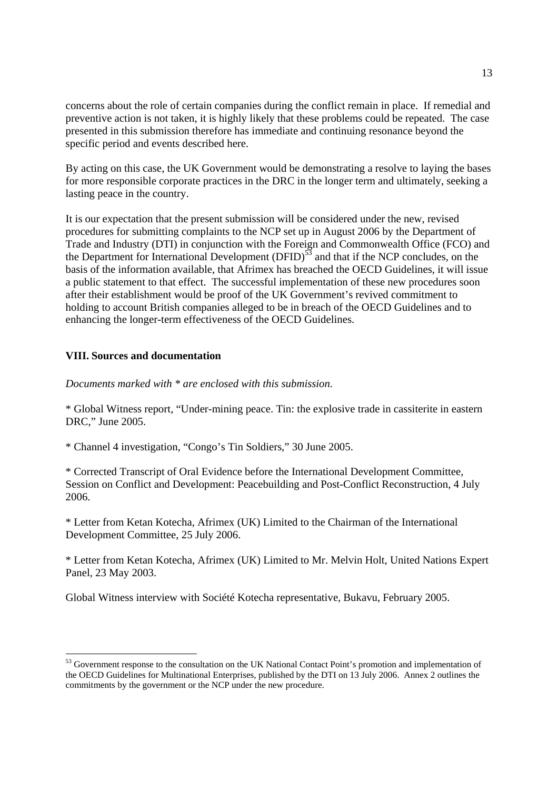concerns about the role of certain companies during the conflict remain in place. If remedial and preventive action is not taken, it is highly likely that these problems could be repeated. The case presented in this submission therefore has immediate and continuing resonance beyond the specific period and events described here.

By acting on this case, the UK Government would be demonstrating a resolve to laying the bases for more responsible corporate practices in the DRC in the longer term and ultimately, seeking a lasting peace in the country.

It is our expectation that the present submission will be considered under the new, revised procedures for submitting complaints to the NCP set up in August 2006 by the Department of Trade and Industry (DTI) in conjunction with the Foreign and Commonwealth Office (FCO) and the Department for International Development  $(DFID)^{5\overline{3}}$  and that if the NCP concludes, on the basis of the information available, that Afrimex has breached the OECD Guidelines, it will issue a public statement to that effect. The successful implementation of these new procedures soon after their establishment would be proof of the UK Government's revived commitment to holding to account British companies alleged to be in breach of the OECD Guidelines and to enhancing the longer-term effectiveness of the OECD Guidelines.

## **VIII. Sources and documentation**

-

*Documents marked with \* are enclosed with this submission.* 

\* Global Witness report, "Under-mining peace. Tin: the explosive trade in cassiterite in eastern DRC," June 2005.

\* Channel 4 investigation, "Congo's Tin Soldiers," 30 June 2005.

\* Corrected Transcript of Oral Evidence before the International Development Committee, Session on Conflict and Development: Peacebuilding and Post-Conflict Reconstruction, 4 July 2006.

\* Letter from Ketan Kotecha, Afrimex (UK) Limited to the Chairman of the International Development Committee, 25 July 2006.

\* Letter from Ketan Kotecha, Afrimex (UK) Limited to Mr. Melvin Holt, United Nations Expert Panel, 23 May 2003.

Global Witness interview with Société Kotecha representative, Bukavu, February 2005.

<sup>&</sup>lt;sup>53</sup> Government response to the consultation on the UK National Contact Point's promotion and implementation of the OECD Guidelines for Multinational Enterprises, published by the DTI on 13 July 2006. Annex 2 outlines the commitments by the government or the NCP under the new procedure.